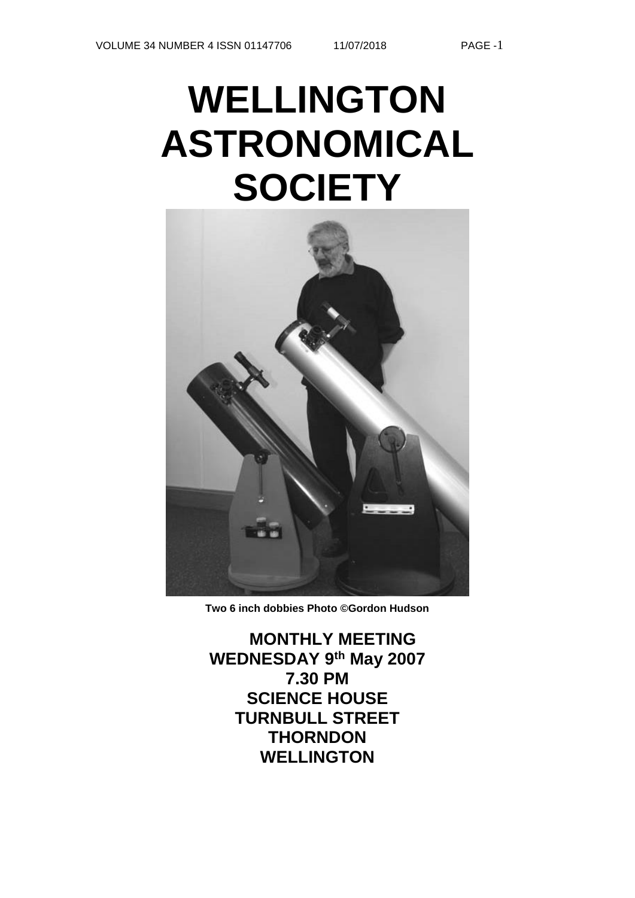# **WELLINGTON ASTRONOMICAL SOCIETY**



**Two 6 inch dobbies Photo ©Gordon Hudson**

**MONTHLY MEETING WEDNESDAY 9th May 2007 7.30 PM SCIENCE HOUSE TURNBULL STREET THORNDON WELLINGTON**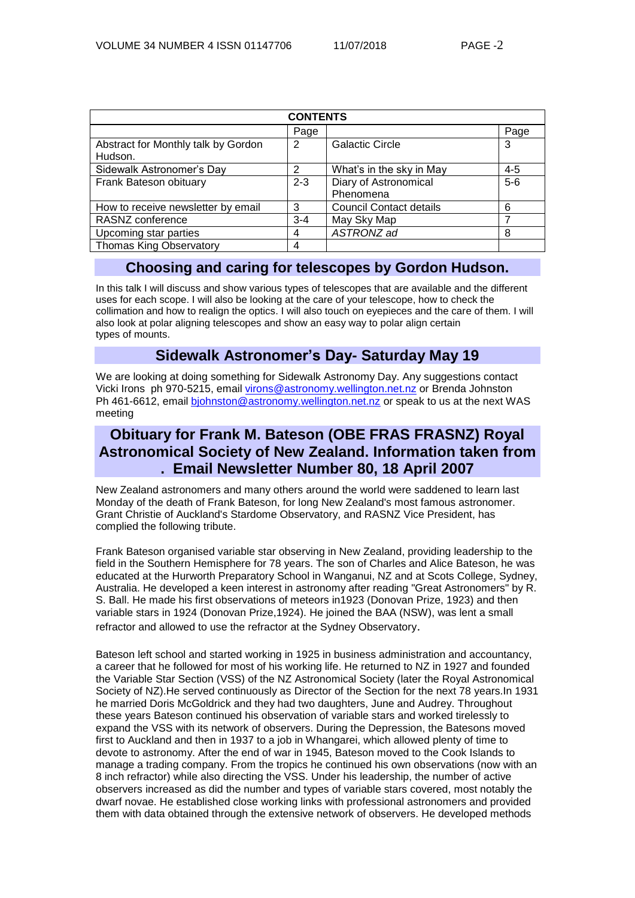| <b>CONTENTS</b>                     |               |                                |         |  |  |
|-------------------------------------|---------------|--------------------------------|---------|--|--|
|                                     | Page          |                                | Page    |  |  |
| Abstract for Monthly talk by Gordon | 2             | <b>Galactic Circle</b>         | 3       |  |  |
| Hudson.                             |               |                                |         |  |  |
| Sidewalk Astronomer's Day           | $\mathcal{P}$ | What's in the sky in May       | $4 - 5$ |  |  |
| Frank Bateson obituary              | $2 - 3$       | Diary of Astronomical          | $5-6$   |  |  |
|                                     |               | Phenomena                      |         |  |  |
| How to receive newsletter by email  | 3             | <b>Council Contact details</b> | 6       |  |  |
| RASNZ conference                    | $3 - 4$       | May Sky Map                    | 7       |  |  |
| Upcoming star parties               | 4             | ASTRONZ ad                     | 8       |  |  |
| <b>Thomas King Observatory</b>      | 4             |                                |         |  |  |

# **Choosing and caring for telescopes by Gordon Hudson.**

In this talk I will discuss and show various types of telescopes that are available and the different uses for each scope. I will also be looking at the care of your telescope, how to check the collimation and how to realign the optics. I will also touch on eyepieces and the care of them. I will also look at polar aligning telescopes and show an easy way to polar align certain types of mounts.

# **Sidewalk Astronomer's Day- Saturday May 19**

We are looking at doing something for Sidewalk Astronomy Day. Any suggestions contact Vicki Irons ph 970-5215, email [virons@astronomy.wellington.net.nz](mailto:virons@astronomy.wellington.net.nz) or Brenda Johnston Ph 461-6612, email [bjohnston@astronomy.wellington.net.nz](mailto:bjohnston@astronomy.wellington.net.nz) or speak to us at the next WAS meeting

# **Obituary for Frank M. Bateson (OBE FRAS FRASNZ) Royal Astronomical Society of New Zealand. Information taken from . Email Newsletter Number 80, 18 April 2007**

New Zealand astronomers and many others around the world were saddened to learn last Monday of the death of Frank Bateson, for long New Zealand's most famous astronomer. Grant Christie of Auckland's Stardome Observatory, and RASNZ Vice President, has complied the following tribute.

Frank Bateson organised variable star observing in New Zealand, providing leadership to the field in the Southern Hemisphere for 78 years. The son of Charles and Alice Bateson, he was educated at the Hurworth Preparatory School in Wanganui, NZ and at Scots College, Sydney, Australia. He developed a keen interest in astronomy after reading "Great Astronomers" by R. S. Ball. He made his first observations of meteors in1923 (Donovan Prize, 1923) and then variable stars in 1924 (Donovan Prize,1924). He joined the BAA (NSW), was lent a small refractor and allowed to use the refractor at the Sydney Observatory.

Bateson left school and started working in 1925 in business administration and accountancy, a career that he followed for most of his working life. He returned to NZ in 1927 and founded the Variable Star Section (VSS) of the NZ Astronomical Society (later the Royal Astronomical Society of NZ).He served continuously as Director of the Section for the next 78 years.In 1931 he married Doris McGoldrick and they had two daughters, June and Audrey. Throughout these years Bateson continued his observation of variable stars and worked tirelessly to expand the VSS with its network of observers. During the Depression, the Batesons moved first to Auckland and then in 1937 to a job in Whangarei, which allowed plenty of time to devote to astronomy. After the end of war in 1945, Bateson moved to the Cook Islands to manage a trading company. From the tropics he continued his own observations (now with an 8 inch refractor) while also directing the VSS. Under his leadership, the number of active observers increased as did the number and types of variable stars covered, most notably the dwarf novae. He established close working links with professional astronomers and provided them with data obtained through the extensive network of observers. He developed methods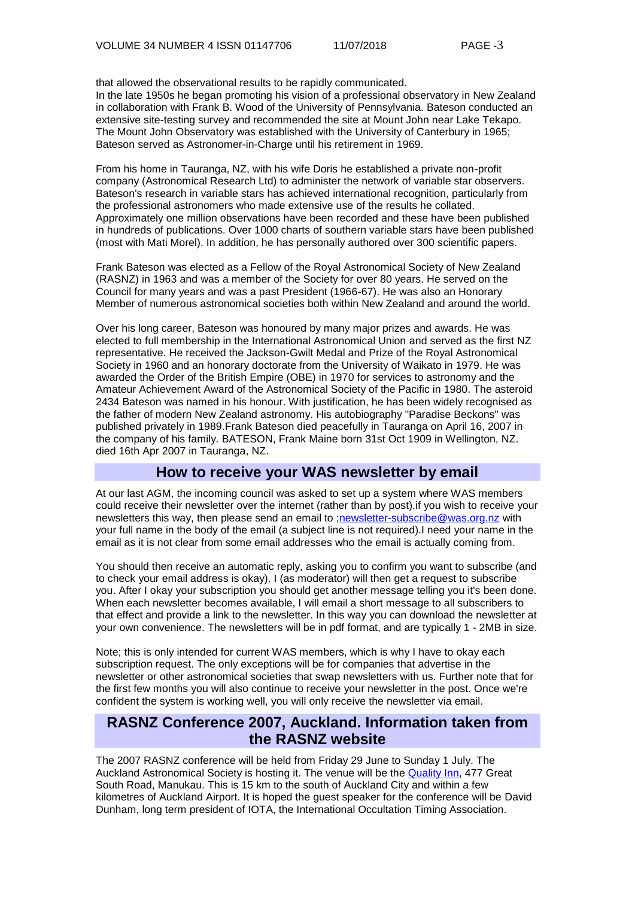that allowed the observational results to be rapidly communicated. In the late 1950s he began promoting his vision of a professional observatory in New Zealand in collaboration with Frank B. Wood of the University of Pennsylvania. Bateson conducted an extensive site-testing survey and recommended the site at Mount John near Lake Tekapo. The Mount John Observatory was established with the University of Canterbury in 1965; Bateson served as Astronomer-in-Charge until his retirement in 1969.

From his home in Tauranga, NZ, with his wife Doris he established a private non-profit company (Astronomical Research Ltd) to administer the network of variable star observers. Bateson's research in variable stars has achieved international recognition, particularly from the professional astronomers who made extensive use of the results he collated. Approximately one million observations have been recorded and these have been published in hundreds of publications. Over 1000 charts of southern variable stars have been published (most with Mati Morel). In addition, he has personally authored over 300 scientific papers.

Frank Bateson was elected as a Fellow of the Royal Astronomical Society of New Zealand (RASNZ) in 1963 and was a member of the Society for over 80 years. He served on the Council for many years and was a past President (1966-67). He was also an Honorary Member of numerous astronomical societies both within New Zealand and around the world.

Over his long career, Bateson was honoured by many major prizes and awards. He was elected to full membership in the International Astronomical Union and served as the first NZ representative. He received the Jackson-Gwilt Medal and Prize of the Royal Astronomical Society in 1960 and an honorary doctorate from the University of Waikato in 1979. He was awarded the Order of the British Empire (OBE) in 1970 for services to astronomy and the Amateur Achievement Award of the Astronomical Society of the Pacific in 1980. The asteroid 2434 Bateson was named in his honour. With justification, he has been widely recognised as the father of modern New Zealand astronomy. His autobiography "Paradise Beckons" was published privately in 1989.Frank Bateson died peacefully in Tauranga on April 16, 2007 in the company of his family. BATESON, Frank Maine born 31st Oct 1909 in Wellington, NZ. died 16th Apr 2007 in Tauranga, NZ.

# **How to receive your WAS newsletter by email**

At our last AGM, the incoming council was asked to set up a system where WAS members could receive their newsletter over the internet (rather than by post).if you wish to receive your newsletters this way, then please send an email to [;newsletter-subscribe@was.org.nz](mailto:newsletter-subscribe@was.org.nz) with your full name in the body of the email (a subject line is not required).I need your name in the email as it is not clear from some email addresses who the email is actually coming from.

You should then receive an automatic reply, asking you to confirm you want to subscribe (and to check your email address is okay). I (as moderator) will then get a request to subscribe you. After I okay your subscription you should get another message telling you it's been done. When each newsletter becomes available, I will email a short message to all subscribers to that effect and provide a link to the newsletter. In this way you can download the newsletter at your own convenience. The newsletters will be in pdf format, and are typically 1 - 2MB in size.

Note; this is only intended for current WAS members, which is why I have to okay each subscription request. The only exceptions will be for companies that advertise in the newsletter or other astronomical societies that swap newsletters with us. Further note that for the first few months you will also continue to receive your newsletter in the post. Once we're confident the system is working well, you will only receive the newsletter via email.

# **RASNZ Conference 2007, Auckland. Information taken from the RASNZ website**

The 2007 RASNZ conference will be held from Friday 29 June to Sunday 1 July. The Auckland Astronomical Society is hosting it. The venue will be the [Quality Inn,](http://www.allenbypark.co.nz/) 477 Great South Road, Manukau. This is 15 km to the south of Auckland City and within a few kilometres of Auckland Airport. It is hoped the guest speaker for the conference will be David Dunham, long term president of IOTA, the International Occultation Timing Association.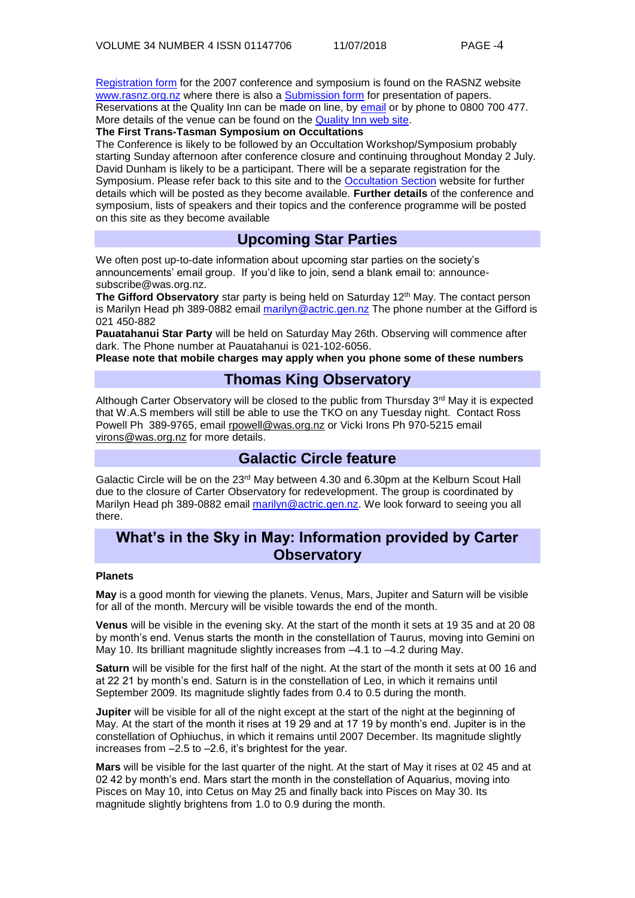[Registration form](http://www.rasnz.org.nz/Conference/regoform07.rtf) for the 2007 conference and symposium is found on the RASNZ website [www.rasnz.org.nz](http://www.rasnz.org.nz/) where there is also a [Submission form](http://www.rasnz.org.nz/Conference/paper.rtf) for presentation of papers. Reservations at the Quality Inn can be made on line, by [email](mailto:allenby@silveroaks.co.nz) or by phone to 0800 700 477. More details of the venue can be found on the [Quality Inn web site.](http://www.allenbypark.co.nz/)

**The First Trans-Tasman Symposium on Occultations**

The Conference is likely to be followed by an Occultation Workshop/Symposium probably starting Sunday afternoon after conference closure and continuing throughout Monday 2 July. David Dunham is likely to be a participant. There will be a separate registration for the Symposium. Please refer back to this site and to the [Occultation Section](http://occsec.wellington.net.nz/) website for further details which will be posted as they become available. **Further details** of the conference and symposium, lists of speakers and their topics and the conference programme will be posted on this site as they become available

# **Upcoming Star Parties**

We often post up-to-date information about upcoming star parties on the society's announcements' email group. If you'd like to join, send a blank email to: [announce](mailto:announce-subscribe@astronomy.wellington.net.nz)[subscribe@was.org.nz.](mailto:announce-subscribe@astronomy.wellington.net.nz)

**The Gifford Observatory** star party is being held on Saturday 12<sup>th</sup> May. The contact person is Marilyn Head ph 389-0882 email [marilyn@actric.gen.nz](mailto:marilyn@actric.gen.nz) The phone number at the Gifford is 021 450-882

**Pauatahanui Star Party** will be held on Saturday May 26th. Observing will commence after dark. The Phone number at Pauatahanui is 021-102-6056.

**Please note that mobile charges may apply when you phone some of these numbers**

# **Thomas King Observatory**

Although Carter Observatory will be closed to the public from Thursday 3<sup>rd</sup> May it is expected that W.A.S members will still be able to use the TKO on any Tuesday night. Contact Ross Powell Ph 389-9765, email [rpowell@was.org.nz](mailto:rpowell@astronomy.wellington.net.nz) or Vicki Irons Ph 970-5215 email [virons@was.org.nz](mailto:virons@astronomy.wellington.net.nz) for more details.

# **Galactic Circle feature**

Galactic Circle will be on the 23<sup>rd</sup> May between 4.30 and 6.30pm at the Kelburn Scout Hall due to the closure of Carter Observatory for redevelopment. The group is coordinated by Marilyn Head ph 389-0882 email [marilyn@actric.gen.nz.](mailto:marilyn@actric.gen.nz) We look forward to seeing you all there.

# **What's in the Sky in May: Information provided by Carter Observatory**

#### **Planets**

**May** is a good month for viewing the planets. Venus, Mars, Jupiter and Saturn will be visible for all of the month. Mercury will be visible towards the end of the month.

**Venus** will be visible in the evening sky. At the start of the month it sets at 19 35 and at 20 08 by month's end. Venus starts the month in the constellation of Taurus, moving into Gemini on May 10. Its brilliant magnitude slightly increases from  $-4.1$  to  $-4.2$  during May.

**Saturn** will be visible for the first half of the night. At the start of the month it sets at 00 16 and at 22 21 by month's end. Saturn is in the constellation of Leo, in which it remains until September 2009. Its magnitude slightly fades from 0.4 to 0.5 during the month.

**Jupiter** will be visible for all of the night except at the start of the night at the beginning of May. At the start of the month it rises at 19 29 and at 17 19 by month's end. Jupiter is in the constellation of Ophiuchus, in which it remains until 2007 December. Its magnitude slightly increases from –2.5 to –2.6, it's brightest for the year.

**Mars** will be visible for the last quarter of the night. At the start of May it rises at 02 45 and at 02 42 by month's end. Mars start the month in the constellation of Aquarius, moving into Pisces on May 10, into Cetus on May 25 and finally back into Pisces on May 30. Its magnitude slightly brightens from 1.0 to 0.9 during the month.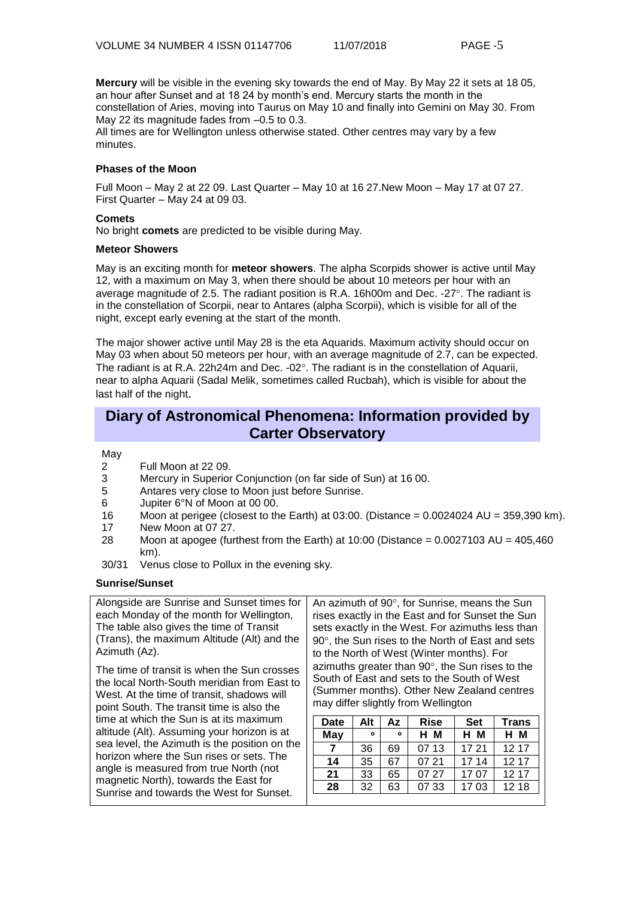**Mercury** will be visible in the evening sky towards the end of May. By May 22 it sets at 18 05, an hour after Sunset and at 18 24 by month's end. Mercury starts the month in the constellation of Aries, moving into Taurus on May 10 and finally into Gemini on May 30. From May 22 its magnitude fades from  $-0.5$  to 0.3. All times are for Wellington unless otherwise stated. Other centres may vary by a few

minutes.

#### **Phases of the Moon**

Full Moon – May 2 at 22 09. Last Quarter – May 10 at 16 27.New Moon – May 17 at 07 27. First Quarter – May 24 at 09 03.

#### **Comets**

No bright **comets** are predicted to be visible during May.

#### **Meteor Showers**

May is an exciting month for **meteor showers**. The alpha Scorpids shower is active until May 12, with a maximum on May 3, when there should be about 10 meteors per hour with an average magnitude of 2.5. The radiant position is R.A. 16h00m and Dec. -27°. The radiant is in the constellation of Scorpii, near to Antares (alpha Scorpii), which is visible for all of the night, except early evening at the start of the month.

The major shower active until May 28 is the eta Aquarids. Maximum activity should occur on May 03 when about 50 meteors per hour, with an average magnitude of 2.7, can be expected. The radiant is at R.A. 22h24m and Dec. -02 $^{\circ}$ . The radiant is in the constellation of Aquarii, near to alpha Aquarii (Sadal Melik, sometimes called Rucbah), which is visible for about the last half of the night.

# **Diary of Astronomical Phenomena: Information provided by Carter Observatory**

May

- 2 Full Moon at 22 09.<br>3 Mercury in Superior
- Mercury in Superior Conjunction (on far side of Sun) at 16 00.
- 5 Antares very close to Moon just before Sunrise.
- 6 Jupiter 6°N of Moon at 00 00.
- 16 Moon at perigee (closest to the Earth) at 03:00. (Distance = 0.0024024 AU = 359,390 km).
- 17 New Moon at 07 27.
- 28 Moon at apogee (furthest from the Earth) at  $10:00$  (Distance = 0.0027103 AU = 405,460 km).
- 30/31 Venus close to Pollux in the evening sky.

#### **Sunrise/Sunset**

Alongside are Sunrise and Sunset times for each Monday of the month for Wellington, The table also gives the time of Transit (Trans), the maximum Altitude (Alt) and the Azimuth (Az).

The time of transit is when the Sun crosses the local North-South meridian from East to West. At the time of transit, shadows will point South. The transit time is also the time at which the Sun is at its maximum altitude (Alt). Assuming your horizon is at sea level, the Azimuth is the position on the horizon where the Sun rises or sets. The angle is measured from true North (not magnetic North), towards the East for Sunrise and towards the West for Sunset.

An azimuth of  $90^\circ$ , for Sunrise, means the Sun rises exactly in the East and for Sunset the Sun sets exactly in the West. For azimuths less than  $90^\circ$ , the Sun rises to the North of East and sets to the North of West (Winter months). For azimuths greater than  $90^\circ$ , the Sun rises to the South of East and sets to the South of West (Summer months). Other New Zealand centres may differ slightly from Wellington

| <b>Date</b> | Alt | Az      | <b>Rise</b> | <b>Set</b> | <b>Trans</b> |  |
|-------------|-----|---------|-------------|------------|--------------|--|
| May         | ۰   | $\circ$ | н м         | H M        | H M          |  |
|             | 36  | 69      | 07 13       | 17 21      | 12 17        |  |
| 14          | 35  | 67      | 07 21       | 17 14      | 12 17        |  |
| 21          | 33  | 65      | 07 27       | 17.07      | 12 17        |  |
| 28          | 32  | 63      | 07 33       | 17 03      | 12 18        |  |
|             |     |         |             |            |              |  |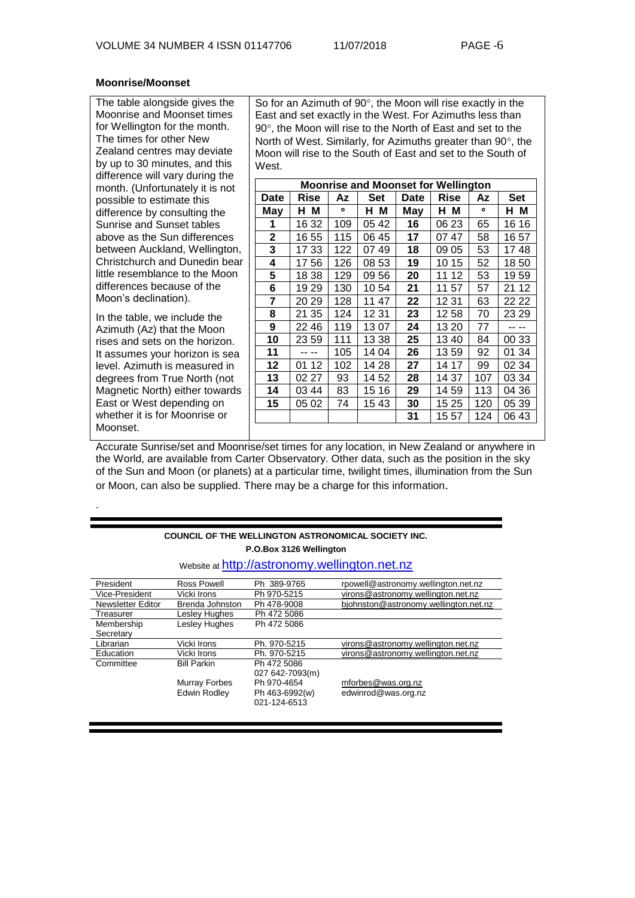#### **Moonrise/Moonset**

The table alongside gives the Moonrise and Moonset times for Wellington for the month. The times for other New Zealand centres may deviate by up to 30 minutes, and this difference will vary during the month. (Unfortunately it is not possible to estimate this difference by consulting the Sunrise and Sunset tables above as the Sun differences between Auckland, Wellington, Christchurch and Dunedin bear little resemblance to the Moon differences because of the Moon's declination).

In the table, we include the Azimuth (Az) that the Moon rises and sets on the horizon. It assumes your horizon is sea level. Azimuth is measured in degrees from True North (not Magnetic North) either towards East or West depending on whether it is for Moonrise or Moonset.

.

So for an Azimuth of  $90^\circ$ , the Moon will rise exactly in the East and set exactly in the West. For Azimuths less than 90°, the Moon will rise to the North of East and set to the North of West. Similarly, for Azimuths greater than  $90^\circ$ , the Moon will rise to the South of East and set to the South of West.

| <b>Moonrise and Moonset for Wellington</b> |       |         |         |             |             |     |            |
|--------------------------------------------|-------|---------|---------|-------------|-------------|-----|------------|
| Date                                       | Rise  | Az      | Set     | <b>Date</b> | <b>Rise</b> | Αz  | <b>Set</b> |
| May                                        | н м   | $\circ$ | M<br>н. | May         | HМ          | ۰   | HМ         |
| 1                                          | 16 32 | 109     | 05 42   | 16          | 06 23       | 65  | 16 16      |
| 2                                          | 16 55 | 115     | 06 45   | 17          | 0747        | 58  | 16 57      |
| 3                                          | 17 33 | 122     | 07 49   | 18          | 09 05       | 53  | 1748       |
| 4                                          | 17 56 | 126     | 08 53   | 19          | 10 15       | 52  | 1850       |
| 5                                          | 18 38 | 129     | 09 56   | 20          | 12<br>11    | 53  | 1959       |
| 6                                          | 19 29 | 130     | 1054    | 21          | 11 57       | 57  | 21 12      |
| 7                                          | 20 29 | 128     | 11 47   | 22          | 12 31       | 63  | 22 22      |
| 8                                          | 21 35 | 124     | 1231    | 23          | 1258        | 70  | 23 29      |
| 9                                          | 22 46 | 119     | 1307    | 24          | 13 20       | 77  |            |
| 10                                         | 23 59 | 111     | 13 38   | 25          | 1340        | 84  | 00 33      |
| 11                                         |       | 105     | 14 04   | 26          | 1359        | 92  | 01 34      |
| 12                                         | 01 12 | 102     | 14 28   | 27          | 14 17       | 99  | 02 34      |
| 13                                         | 02 27 | 93      | 14 52   | 28          | 14 37       | 107 | 03 34      |
| 14                                         | 03 44 | 83      | 15 16   | 29          | 14 59       | 113 | 04 36      |
| 15                                         | 05 02 | 74      | 1543    | 30          | 15 25       | 120 | 05 39      |
|                                            |       |         |         | 31          | 15 57       | 124 | 06 43      |

Accurate Sunrise/set and Moonrise/set times for any location, in New Zealand or anywhere in the World, are available from Carter Observatory. Other data, such as the position in the sky of the Sun and Moon (or planets) at a particular time, twilight times, illumination from the Sun or Moon, can also be supplied. There may be a charge for this information.

#### **COUNCIL OF THE WELLINGTON ASTRONOMICAL SOCIETY INC. P.O.Box 3126 Wellington**

#### Website at [http://astronomy.wellington.net.nz](http://astronomy.wellington.net.nz/)

| President                | Ross Powell        | Ph 389-9765     | rpowell@astronomy.wellington.net.nz   |
|--------------------------|--------------------|-----------------|---------------------------------------|
| Vice-President           | Vicki Irons        | Ph 970-5215     | virons@astronomy.wellington.net.nz    |
| <b>Newsletter Editor</b> | Brenda Johnston    | Ph 478-9008     | bjohnston@astronomy.wellington.net.nz |
| Treasurer                | Lesley Hughes      | Ph 472 5086     |                                       |
| Membership               | Lesley Hughes      | Ph 472 5086     |                                       |
| Secretary                |                    |                 |                                       |
| Librarian                | Vicki Irons        | Ph. 970-5215    | virons@astronomy.wellington.net.nz    |
| Education                | Vicki Irons        | Ph. 970-5215    | virons@astronomy.wellington.net.nz    |
| Committee                | <b>Bill Parkin</b> | Ph 472 5086     |                                       |
|                          |                    | 027 642-7093(m) |                                       |
|                          | Murray Forbes      | Ph 970-4654     | mforbes@was.org.nz                    |
|                          | Edwin Rodley       | Ph 463-6992(w)  | edwinrod@was.org.nz                   |
|                          |                    | 021-124-6513    |                                       |
|                          |                    |                 |                                       |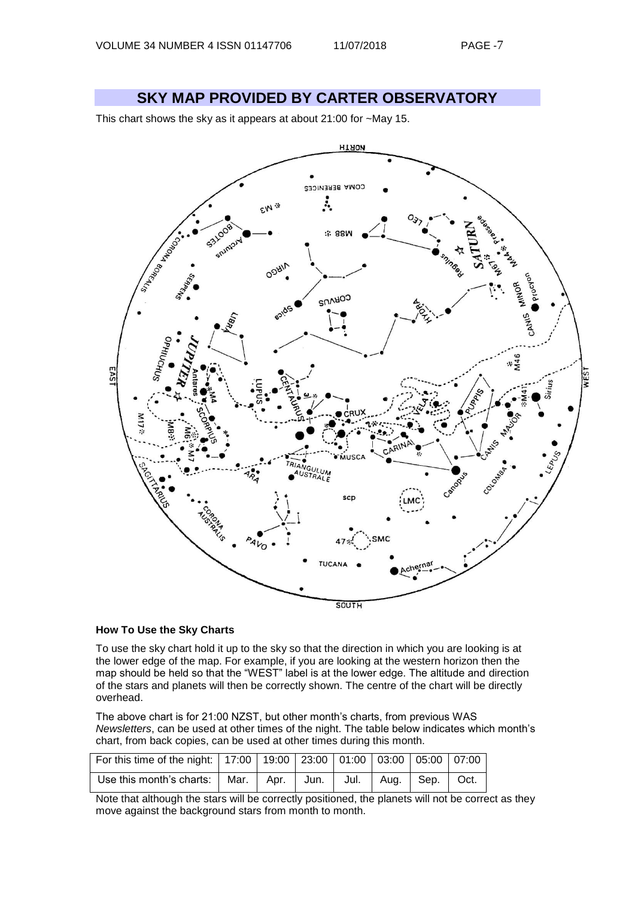**SKY MAP PROVIDED BY CARTER OBSERVATORY**

This chart shows the sky as it appears at about 21:00 for ~May 15.



#### **How To Use the Sky Charts**

To use the sky chart hold it up to the sky so that the direction in which you are looking is at the lower edge of the map. For example, if you are looking at the western horizon then the map should be held so that the "WEST" label is at the lower edge. The altitude and direction of the stars and planets will then be correctly shown. The centre of the chart will be directly overhead.

The above chart is for 21:00 NZST, but other month's charts, from previous WAS *Newsletters*, can be used at other times of the night. The table below indicates which month's chart, from back copies, can be used at other times during this month.

| For this time of the night:   17:00   19:00   23:00   01:00   03:00   05:00   07:00 |  |  |  |  |
|-------------------------------------------------------------------------------------|--|--|--|--|
| Use this month's charts:   Mar.   Apr.   Jun.   Jul.   Aug.   Sep.   Oct.           |  |  |  |  |

Note that although the stars will be correctly positioned, the planets will not be correct as they move against the background stars from month to month.